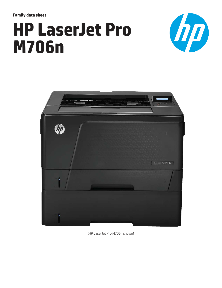**Family data sheet**

# **HP LaserJet Pro M706n**





(HP LaserJet Pro M706n shown)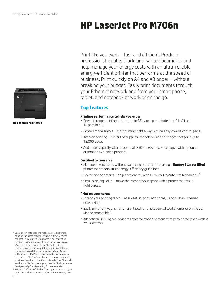

**HP LaserJet Pro M706n** 

1 Local printing requires the mobile device and printer to be on the same network or have a direct wireless connection. Wireless performance is dependent on physical environment and distance from access point. Wireless operations are compatible with 2.4 GHz operations only. Remote printing requires an Internet connection to an HP web‑connected printer. App or software and HP ePrint account registration may also be required. Wireless broadband use requires separately purchased service contract for mobile devices. Check with service provider for coverage and availability in your area. See [hp.com/go/mobileprinting](http://hp.com/go/mobileprinting) for more details.

2 HP Auto‑On/Auto‑Off Technology capabilities are subject to printer and settings. May require a firmware upgrade.

## **HP LaserJet Pro M706n**

Print like you work—fast and efficient. Produce professional‑quality black‑and‑white documents and help manage your energy costs with an ultra-reliable, energy‑efficient printer that performs at the speed of business. Print quickly on A4 and A3 paper—without breaking your budget. Easily print documents through your Ethernet network and from your smartphone, tablet, and notebook at work or on the go.

## **Top features**

#### **Printing performance to help you grow**

- Speed through printing tasks at up to 35 pages per minute (ppm) in A4 and 18 ppm in A3.
- Control made simple—start printing right away with an easy-to-use control panel.
- Keep on printing—run out of supplies less often using cartridges that print up to 12,000 pages.
- Add paper capacity with an optional 850 sheets tray. Save paper with optional automatic two-sided printing.

#### **Certified to conserve**

- Manage energy costs without sacrificing performance, using a **Energy Star certified** printer that meets strict energy-efficiency guidelines.
- Power-saving smarts—help save energy with HP Auto-On/Auto-Off Technology.<sup>2</sup>
- Small size, big value—make the most of your space with a printer that fits in tight places.

#### **Print on your terms**

- Extend your printing reach—easily set up, print, and share, using built-in Ethernet networking.
- Easily print from your smartphone, tablet, and notebook at work, home, or on the go; Mopria compatible.<sup>1</sup>
- Add optional 802.11g networking to any of the models, to connect the printer directly to a wireless (Wi‑Fi) network.

2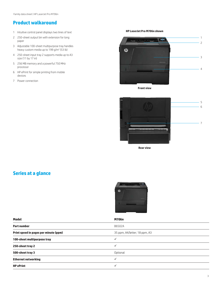## **Product walkaround**

- 1 Intuitive control panel displays two lines of text
- 2 250‑sheet output bin with extension for long paper
- 3 Adjustable 100‑sheet multipurpose tray handles heavy custom media up to 199 g/m<sup>2</sup> (53 lb)
- 4 250‑sheet input tray 2 supports media up to A3 size (11 by 17 in)
- 5 256 MB memory and a powerful 750 MHz processor
- 6 HP ePrint for simple printing from mobile devices
- 7 Power connection

#### **HP LaserJet Pro M706n shown**



**Front view**



**Rear view**

## **Series at a glance**



| <b>Model</b>                          | <b>M706n</b>                  |
|---------------------------------------|-------------------------------|
| <b>Part number</b>                    | <b>B6S02A</b>                 |
| Print speed in pages per minute (ppm) | 35 ppm, A4/letter; 18 ppm, A3 |
| 100-sheet multipurpose tray           |                               |
| 250-sheet tray 2                      |                               |
| 500-sheet tray 3                      | Optional                      |
| <b>Ethernet networking</b>            | ✓                             |
| <b>HP</b> ePrint                      | $\checkmark$                  |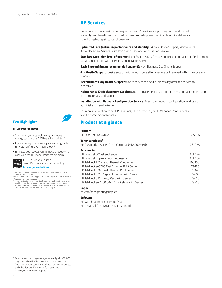## **HP Services**

Downtime can have serious consequences, so HP provides support beyond the standard warranty. You benefit from reduced risk, maximized uptime, predictable service delivery and no unbudgeted repair costs. Choose from:

**Optimized Care (optimum performance and stability):** 4 hour Onsite Support, Maintenance Kit Replacement Service, Installation with Network Configuration Service

**Standard Care (high level of uptime):** Next Business Day Onsite Support, Maintenance Kit Replacement Service, Installation with Network Configuration Service

**Basic Care (minimum recommended support):** Next Business Day Onsite Support

**4 hr Onsite Support:** Onsite support within four hours after a service call received within the coverage window

**Next Business Day Onsite Support:** Onsite service the next business day after the service call is received

**Maintenance Kit Replacement Service:** Onsite replacement of your printer's maintenance kit including parts, materials, and labour

**Installation with Network Configuration Service:** Assembly, network configuration, and basic administrator familiarization

For more information about HP Care Pack, HP Contractual, or HP Managed Print Services, visit [hp.com/go/printservices](http://hp.com/go/printservices)

### **Product at a glance**

#### **Printers**

 $\angle$ 

| HP Laser Jet Pro M706n                                 | B6S02A |
|--------------------------------------------------------|--------|
| Toner cartridges <sup>1</sup>                          |        |
| HP 93A Black Laser Jet Toner Cartridge (~12,000 yield) | CZ192A |
| <b>Accessories</b>                                     |        |
| HP LaserJet 500-sheet Feeder                           | A3E47A |
| HP Laser Jet Duplex Printing Accessory                 | A3E46A |
| HP Jetdirect 175x Fast Ethernet Print Server           | 16035G |
| HP Jetdirect en3700 Fast Ethernet Print Server         | J7942G |
| HP Jetdirect 620n Fast Ethernet Print Server           | J7934G |
| HP Jetdirect 625n Gigabit Ethernet Print Server        | J7960G |
| HP Jetdirect 635n IPv6/IPsec Print Server              | J7961G |
| HP Jetdirect ew2400 802.11g Wireless Print Server      | J7951G |
| Paper                                                  |        |

[hp.com/apac/printingsupplies](http://hp.com/apac/printingsupplies)

#### **Software**

HP Web Jetadmin: [hp.com/go/wja](http://hp.com/go/wja)

HP Universal Print Driver: [hp.com/go/upd](http://hp.com/go/upd)

#### **Eco Highlights**

#### **HP LaserJet Pro M706n**

- Start saving energy right away. Manage your energy costs with a CECP-qualified printer.<sup>1</sup>
- Power‑saving smarts—help save energy with HP Auto-On/Auto-Off Technology.<sup>2</sup>
- HP helps you recycle your print cartridges—it's easy with the HP Planet Partners program.<sup>3</sup>

ENERGY STAR® qualified

**Aurica** Join HP in more sustainable printing **[hp.com/ecosolutions](http://hp.com/ecosolutions)**

Meets energy use requirements for China Energy Conservation Program's

- (CECP) CEL Grade‑2 certification. <sup>2</sup>HP Auto‑On/Auto‑Off Technology capabilities are subject to printer and settings. May require a firmware upgrade.
- <sup>3</sup> Program availability varies. HP print cartridge return and recycling is currently<br>available in more than 50 countries and territories around the world through<br>the HP Planet Partners program. For more information, or to

1 Replacement cartridge average declared yield ~12,000 pages based on ISO/IEC 19752 and continuous print. Actual yields vary considerably based on images printed and other factors. For more information, visit: [hp.com/go/learnaboutsupplies](http://hp.com/go/learnaboutsupplies)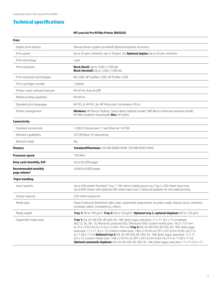## **Technical specifications**

#### **HP LaserJet Pro M706n Printer (B6S02A)**

| <b>Print</b>                                           |                                                                                                                                                                                                                                                                                                                                                                                                                                                                                                                                                                                                                                                                                                                                                                      |  |
|--------------------------------------------------------|----------------------------------------------------------------------------------------------------------------------------------------------------------------------------------------------------------------------------------------------------------------------------------------------------------------------------------------------------------------------------------------------------------------------------------------------------------------------------------------------------------------------------------------------------------------------------------------------------------------------------------------------------------------------------------------------------------------------------------------------------------------------|--|
| Duplex print options                                   | Manual (driver support provided) Optional Duplexer accessory                                                                                                                                                                                                                                                                                                                                                                                                                                                                                                                                                                                                                                                                                                         |  |
| Print speed <sup>1</sup>                               | Up to 35 ppm, A4/letter; Up to 18 ppm, A3; <b>Optional duplex:</b> Up to 24 ipm, A4/letter                                                                                                                                                                                                                                                                                                                                                                                                                                                                                                                                                                                                                                                                           |  |
| Print technology                                       | Laser                                                                                                                                                                                                                                                                                                                                                                                                                                                                                                                                                                                                                                                                                                                                                                |  |
| Print resolution                                       | <b>Black (best):</b> Up to $1200 \times 1200$ dpi<br><b>Black (normal):</b> Up to $1200 \times 1200$ dpi                                                                                                                                                                                                                                                                                                                                                                                                                                                                                                                                                                                                                                                             |  |
| Print resolution technologies                          | REt, 600, HP FastRes 1200, HP ProRes 1200                                                                                                                                                                                                                                                                                                                                                                                                                                                                                                                                                                                                                                                                                                                            |  |
| Print cartridges number                                | 1 (black)                                                                                                                                                                                                                                                                                                                                                                                                                                                                                                                                                                                                                                                                                                                                                            |  |
| Printer smart software features                        | HP ePrint; Auto On/Off                                                                                                                                                                                                                                                                                                                                                                                                                                                                                                                                                                                                                                                                                                                                               |  |
| Mobile printing capability <sup>2</sup>                | HP ePrint                                                                                                                                                                                                                                                                                                                                                                                                                                                                                                                                                                                                                                                                                                                                                            |  |
| Standard print languages                               | HP PCL 6, HP PCL 5e, HP Postscript 3 emulation, PCLm                                                                                                                                                                                                                                                                                                                                                                                                                                                                                                                                                                                                                                                                                                                 |  |
| Printer management                                     | Windows: HP Device Toolbox, Status Alerts (default install), SNP Alerts (minimum network install),<br>HP Web Jetadmin (download); Mac: HP Utility                                                                                                                                                                                                                                                                                                                                                                                                                                                                                                                                                                                                                    |  |
| <b>Connectivity</b>                                    |                                                                                                                                                                                                                                                                                                                                                                                                                                                                                                                                                                                                                                                                                                                                                                      |  |
| Standard connectivity                                  | 1 USB 2.0 device port; 1 fast Ethernet 10/100                                                                                                                                                                                                                                                                                                                                                                                                                                                                                                                                                                                                                                                                                                                        |  |
| Network capabilities                                   | 10/100 Base-TX networking                                                                                                                                                                                                                                                                                                                                                                                                                                                                                                                                                                                                                                                                                                                                            |  |
| Network ready                                          | Yes                                                                                                                                                                                                                                                                                                                                                                                                                                                                                                                                                                                                                                                                                                                                                                  |  |
| <b>Memory</b>                                          | <b>Standard/Maximum:</b> 256 MB (NAND ROM); 256 MB (DDR3 ROM)                                                                                                                                                                                                                                                                                                                                                                                                                                                                                                                                                                                                                                                                                                        |  |
| <b>Processor speed</b>                                 | 750 MHz                                                                                                                                                                                                                                                                                                                                                                                                                                                                                                                                                                                                                                                                                                                                                              |  |
| Duty cycle (monthly, A4) <sup>3</sup>                  | Up to 65,000 pages                                                                                                                                                                                                                                                                                                                                                                                                                                                                                                                                                                                                                                                                                                                                                   |  |
| <b>Recommended monthly</b><br>page volume <sup>4</sup> | 4,000 to 8,000 pages                                                                                                                                                                                                                                                                                                                                                                                                                                                                                                                                                                                                                                                                                                                                                 |  |
| <b>Paper handling</b>                                  |                                                                                                                                                                                                                                                                                                                                                                                                                                                                                                                                                                                                                                                                                                                                                                      |  |
| Input capacity                                         | Up to 350 sheets Standard: Tray 1: 100-sheet multipurpose tray, Tray 2: 250-sheet input tray;<br>Up to 850 sheets with optional 500-sheet input tray 3; Optional duplexer for two sided printing                                                                                                                                                                                                                                                                                                                                                                                                                                                                                                                                                                     |  |
| Output capacity                                        | 250-sheet output bin                                                                                                                                                                                                                                                                                                                                                                                                                                                                                                                                                                                                                                                                                                                                                 |  |
| Media type                                             | Paper (coloured, letterhead, light, plain, preprinted, prepunched, recycled, rough, heavy), bond, cardstock,<br>envelope, labels, transparency, vellum                                                                                                                                                                                                                                                                                                                                                                                                                                                                                                                                                                                                               |  |
| Media weight                                           | Tray 1: 60 to 199 g/m <sup>2</sup> ; Tray 2: 60 to 120 g/m <sup>2</sup> ; Optional tray 3, optional duplexer: 60 to 120 g/m <sup>2</sup>                                                                                                                                                                                                                                                                                                                                                                                                                                                                                                                                                                                                                             |  |
| Supported media sizes                                  | <b>Tray 1:</b> A4, A3, B4 (JIS), B5 (JIS), A5, 16K; letter, legal, executive, 11 x 17, 8.5 x 13; envelopes<br>(B5, C5, DL, No. 10, Monarch); postcard (JIS), DPostcard (JIS); Custom media sizes: 76.2 x 127 mm<br>to 312 x 470 mm (3 x 5 in to 12.28 x 18.5 in); Tray 2: A4, A3, B4 (JIS), B5 (JIS), A5, 16K, letter, legal,<br>executive, 11 x 17, 8.5 x 13; Custom media sizes: 148 x 210 mm to 297 x 431.8 mm (5.83 x 8.27 in<br>to 11.69 x 17 in); Optional tray 3: A4, A3, B4 (JIS), B5 (JIS), A5, 16K; letter, legal, executive, 11 x 17,<br>8.5 x 13: Custom media sizes: 148 x 210 mm to 297 x 431.8 mm (5.83 x 8.27 in to 11.69 x 17 in):<br>Optional automatic duplexer: A4, A3, B4 (JIS), B5 (JIS), A5, 16K; letter, legal, executive, 11 x 17, 8.5 x 13 |  |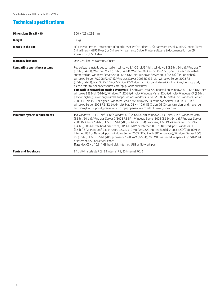## **Technical specifications**

| Dimensions (W x D x H)                                                                                                                                                                                                                                                                                                                                                                                                                                                                                                                                                                                                                                                                                                                                                                                                                                                                                                                                                                                                                                                                                                                                                                                                                                                       | $500 \times 425 \times 295$ mm                                                                                                                                                                                                                                                                                                                                                                                                                                                                                                                                                                                                                                                                                                                                                                                                                      |  |
|------------------------------------------------------------------------------------------------------------------------------------------------------------------------------------------------------------------------------------------------------------------------------------------------------------------------------------------------------------------------------------------------------------------------------------------------------------------------------------------------------------------------------------------------------------------------------------------------------------------------------------------------------------------------------------------------------------------------------------------------------------------------------------------------------------------------------------------------------------------------------------------------------------------------------------------------------------------------------------------------------------------------------------------------------------------------------------------------------------------------------------------------------------------------------------------------------------------------------------------------------------------------------|-----------------------------------------------------------------------------------------------------------------------------------------------------------------------------------------------------------------------------------------------------------------------------------------------------------------------------------------------------------------------------------------------------------------------------------------------------------------------------------------------------------------------------------------------------------------------------------------------------------------------------------------------------------------------------------------------------------------------------------------------------------------------------------------------------------------------------------------------------|--|
| Weight                                                                                                                                                                                                                                                                                                                                                                                                                                                                                                                                                                                                                                                                                                                                                                                                                                                                                                                                                                                                                                                                                                                                                                                                                                                                       | 17 kg                                                                                                                                                                                                                                                                                                                                                                                                                                                                                                                                                                                                                                                                                                                                                                                                                                               |  |
| What's in the box                                                                                                                                                                                                                                                                                                                                                                                                                                                                                                                                                                                                                                                                                                                                                                                                                                                                                                                                                                                                                                                                                                                                                                                                                                                            | HP LaserJet Pro M706n Printer; HP Black LaserJet Cartridge (12K); Hardware Install Guide, Support Flyer;<br>China Energy MEPS Flyer (for China only); Warranty Guide; Printer software & documentation on CD;<br>Power Cord: USB Cable                                                                                                                                                                                                                                                                                                                                                                                                                                                                                                                                                                                                              |  |
| <b>Warranty features</b>                                                                                                                                                                                                                                                                                                                                                                                                                                                                                                                                                                                                                                                                                                                                                                                                                                                                                                                                                                                                                                                                                                                                                                                                                                                     | One-year limited warranty, Onsite                                                                                                                                                                                                                                                                                                                                                                                                                                                                                                                                                                                                                                                                                                                                                                                                                   |  |
| Full software installs supported on: Windows 8.1 (32-bit/64-bit); Windows 8 (32-bit/64-bit), Windows 7<br><b>Compatible operating systems</b><br>(32-bit/64-bit), Windows Vista (32-bit/64-bit), Windows XP (32-bit) (SP2 or higher); Driver only installs<br>supported on: Windows Server 2008 (32-bit/64-bit), Windows Server 2003 (32-bit) (SP1 or higher),<br>Windows Server 7/2008 R2 (SP1), Windows Server 2003 R2 (32-bit), Windows Server 2008 R2<br>(32-bit/64-bit); Mac OS X v 10.6, OS X Lion, OS X Mountain Lion, and Mavericks; For Linux/Unix support,<br>please refer to: hplipopensource.com/hplip-web/index.html<br><b>Compatible network operating systems:</b> Full software installs supported on: Windows 8.1 (32-bit/64-bit);<br>Windows 8 (32-bit/64-bit), Windows 7 (32-bit/64-bit), Windows Vista (32-bit/64-bit), Windows XP (32-bit)<br>(SP2 or higher); Driver only installs supported on: Windows Server 2008 (32-bit/64-bit), Windows Server<br>2003 (32-bit) (SP1 or higher), Windows Server 7/2008 R2 (SP1), Windows Server 2003 R2 (32-bit),<br>Windows Server 2008 R2 (32-bit/64-bit); Mac OS X v 10.6, OS X Lion, OS X Mountain Lion, and Mavericks;<br>For Linux/Unix support, please refer to: hplipopensource.com/hplip-web/index.html |                                                                                                                                                                                                                                                                                                                                                                                                                                                                                                                                                                                                                                                                                                                                                                                                                                                     |  |
| <b>Minimum system requirements</b>                                                                                                                                                                                                                                                                                                                                                                                                                                                                                                                                                                                                                                                                                                                                                                                                                                                                                                                                                                                                                                                                                                                                                                                                                                           | PC: Windows 8.1 (32-bit/64-bit); Windows 8 (32-bit/64-bit); Windows 7 (32-bit/64-bit), Windows Vista<br>(32-bit/64-bit); Windows Server 7/2008 R2 SP1, Windows Server 2008 (32-bit/64-bit), Windows Server<br>2008 R2 (32-bit/64-bit): 1 GHz 32-bit (x86) or 64-bit (x64) processor, 1 GB RAM (32-bit) or 2 GB RAM<br>(64-bit), 200 MB free hard disk space, CD/DVD-ROM or Internet, USB or Network port; Windows XP<br>(32-bit) SP2: Pentium® 233 MHz processor, 512 MB RAM, 200 MB free hard disk space, CD/DVD-ROM or<br>Internet, USB or Network port; Windows Server 2003 (32-bit with SP1 or greater), Windows Server 2003<br>R2 (32-bit): 1 GHz 32-bit (x86) processor, 1 GB RAM (32-bit), 200 MB free hard disk space, CD/DVD-ROM<br>or Internet, USB or Network port<br>Mac: Mac OSX v 10.6; 1 GB hard disk; Internet; USB or Network port |  |
| <b>Fonts and Typefaces</b>                                                                                                                                                                                                                                                                                                                                                                                                                                                                                                                                                                                                                                                                                                                                                                                                                                                                                                                                                                                                                                                                                                                                                                                                                                                   | 84 built-in scalable PCL; 83 internal PS; 83 internal PCL 6                                                                                                                                                                                                                                                                                                                                                                                                                                                                                                                                                                                                                                                                                                                                                                                         |  |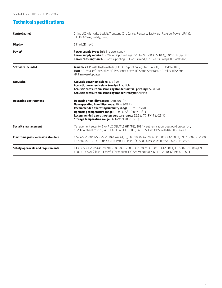## **Technical specifications**

| <b>Control panel</b>                     | 2-line LCD with write backlit; 7 buttons (OK, Cancel, Forward, Backward, Reverse, Power, ePrint);<br>3 LEDs (Power, Ready, Error)                                                                                                                                                                                                                         |  |
|------------------------------------------|-----------------------------------------------------------------------------------------------------------------------------------------------------------------------------------------------------------------------------------------------------------------------------------------------------------------------------------------------------------|--|
| <b>Display</b>                           | 2 line LCD (text)                                                                                                                                                                                                                                                                                                                                         |  |
| Power <sup>5</sup>                       | <b>Power supply type:</b> Built-in power supply<br><b>Power supply required:</b> 220-volt input voltage: 220 to 240 VAC $(+/- 10\%)$ , 50/60 Hz $(+/- 3$ Hz)<br><b>Power consumption:</b> 680 watts (printing), 11 watts (ready), 2.5 watts (sleep), 0.2 watts (off)                                                                                      |  |
| Software included                        | <b>Windows:</b> HP Installer/Uninstaller, HP PCL 6 print driver, Status Alerts, HP Update, DXP;<br>Mac: HP Installer/Uninstaller, HP Postscript driver, HP Setup Assistant, HP Utility, HP Alerts,<br>HP Firmware Updater                                                                                                                                 |  |
| Acoustics <sup>5</sup>                   | <b>Acoustic power emissions:</b> 6.5 B(A)<br><b>Acoustic power emissions (ready): Inaudible</b><br>Acoustic pressure emissions bystander (active, printing): 52 dB(A)<br>Acoustic pressure emissions bystander (ready): Inaudible                                                                                                                         |  |
| <b>Operating environment</b>             | Operating humidity range: 10 to 80% RH<br>Non-operating humidity range: 10 to 90% RH<br>Recommended operating humidity range: 30 to 70% RH<br><b>Operating temperature range:</b> 10 to 32.5° C (50 to 91°F)<br><b>Recommended operating temperature range:</b> 62.6 to 77° F (17 to 25° C)<br><b>Storage temperature range:</b> 32 to 95° F (0 to 35° C) |  |
| <b>Security management</b>               | Management security: SNMP v2, SSL/TLS (HTTPS), 802.1x authentication; password protection,<br>802.1x authentication (EAP-PEAP, LEAP, EAP-TTLS, EAP-TLS, EAP-MD5) with RADIUS servers                                                                                                                                                                      |  |
| <b>Electromagnetic emission standard</b> | CISPR22:2008/EN55022:2010-Class A1) 3); EN 61000-3-2:2006+A1:2009 +A2:2009, EN 61000-3-3:2008,<br>EN 55024:2010; FCC Title 47 CFR, Part 15 Class A/ICES-003, Issue 5; GB9254-2008, GB17625.1-2012                                                                                                                                                         |  |
| <b>Safety approvals and requirements</b> | IEC 60950-1:2005+A1:2009/EN60950-1:2006 +A11:2009+A1:2010+A12:2011; IEC 60825-1:2007/EN<br>60825-1:2007 (Class 1 Laser/LED Product); IEC 62479:2010/EN 62479:2010; GB4943.1-2011                                                                                                                                                                          |  |